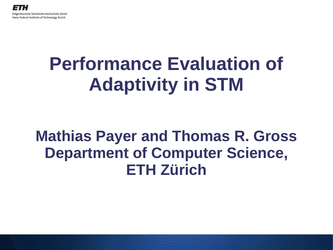# **Performance Evaluation of Adaptivity in STM**

#### **Mathias Payer and Thomas R. Gross Department of Computer Science, ETH Zürich**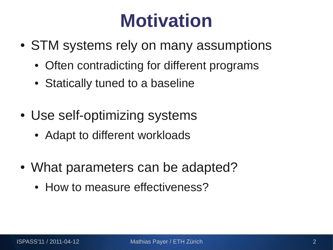# **Motivation**

- STM systems rely on many assumptions
	- Often contradicting for different programs
	- Statically tuned to a baseline
- Use self-optimizing systems
	- Adapt to different workloads
- What parameters can be adapted?
	- How to measure effectiveness?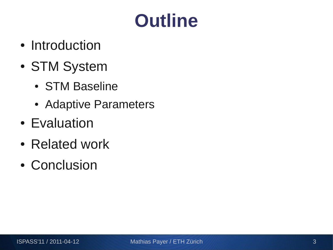# **Outline**

- Introduction
- STM System
	- STM Baseline
	- Adaptive Parameters
- Evaluation
- Related work
- Conclusion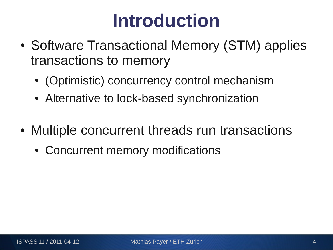# **Introduction**

- Software Transactional Memory (STM) applies transactions to memory
	- (Optimistic) concurrency control mechanism
	- Alternative to lock-based synchronization
- Multiple concurrent threads run transactions
	- Concurrent memory modifications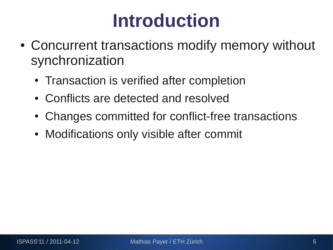# **Introduction**

- Concurrent transactions modify memory without synchronization
	- Transaction is verified after completion
	- Conflicts are detected and resolved
	- Changes committed for conflict-free transactions
	- Modifications only visible after commit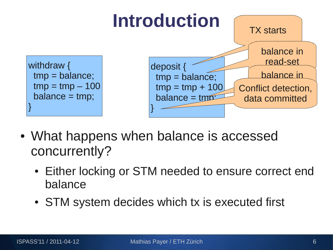

- What happens when balance is accessed concurrently?
	- Either locking or STM needed to ensure correct end balance
	- STM system decides which tx is executed first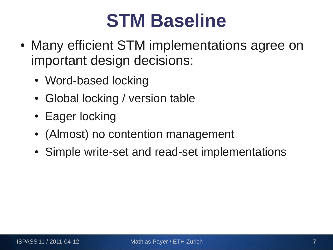### **STM Baseline**

- Many efficient STM implementations agree on important design decisions:
	- Word-based locking
	- Global locking / version table
	- Eager locking
	- (Almost) no contention management
	- Simple write-set and read-set implementations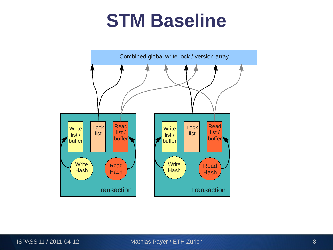#### **STM Baseline**

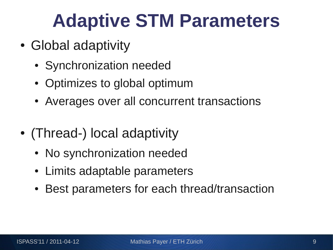# **Adaptive STM Parameters**

- Global adaptivity
	- Synchronization needed
	- Optimizes to global optimum
	- Averages over all concurrent transactions
- (Thread-) local adaptivity
	- No synchronization needed
	- Limits adaptable parameters
	- Best parameters for each thread/transaction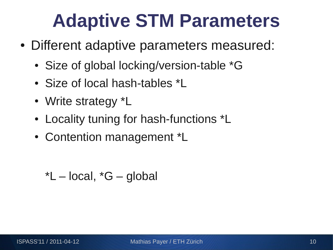## **Adaptive STM Parameters**

- Different adaptive parameters measured:
	- Size of global locking/version-table \*G
	- Size of local hash-tables \*L
	- Write strategy \*L
	- Locality tuning for hash-functions \*L
	- Contention management \*L

 $*L$  – local,  $*G$  – global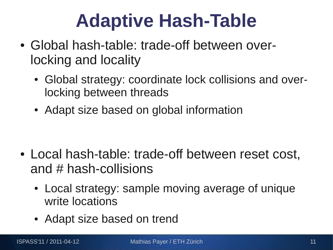# **Adaptive Hash-Table**

- Global hash-table: trade-off between overlocking and locality
	- Global strategy: coordinate lock collisions and overlocking between threads
	- Adapt size based on global information

- Local hash-table: trade-off between reset cost, and  $#$  hash-collisions
	- Local strategy: sample moving average of unique write locations
	- Adapt size based on trend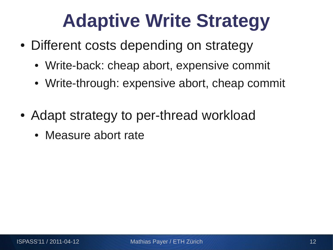# **Adaptive Write Strategy**

- Different costs depending on strategy
	- Write-back: cheap abort, expensive commit
	- Write-through: expensive abort, cheap commit
- Adapt strategy to per-thread workload
	- Measure abort rate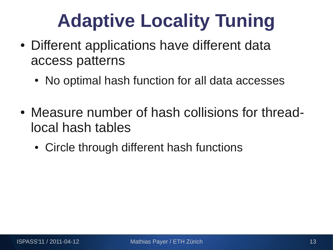# **Adaptive Locality Tuning**

- Different applications have different data access patterns
	- No optimal hash function for all data accesses
- Measure number of hash collisions for threadlocal hash tables
	- Circle through different hash functions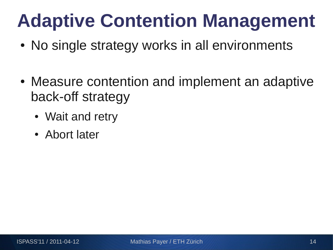# **Adaptive Contention Management**

- No single strategy works in all environments
- Measure contention and implement an adaptive back-off strategy
	- Wait and retry
	- Abort later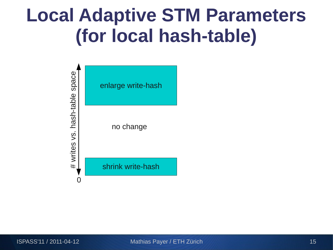### **Local Adaptive STM Parameters (for local hash-table)**

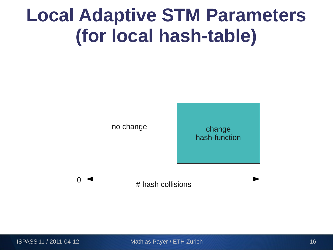### **Local Adaptive STM Parameters (for local hash-table)**





 $\overline{0}$   $\overline{1}$   $\overline{1}$   $\overline{1}$   $\overline{1}$  hash collisions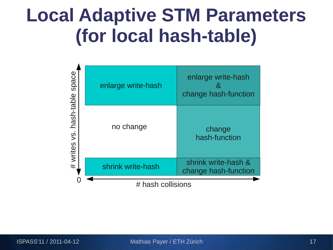### **Local Adaptive STM Parameters (for local hash-table)**

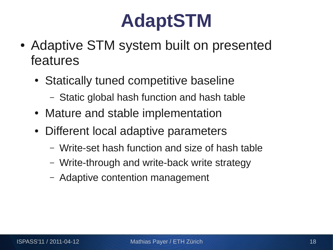# **AdaptSTM**

- Adaptive STM system built on presented features
	- Statically tuned competitive baseline
		- Static global hash function and hash table
	- Mature and stable implementation
	- Different local adaptive parameters
		- Write-set hash function and size of hash table
		- Write-through and write-back write strategy
		- Adaptive contention management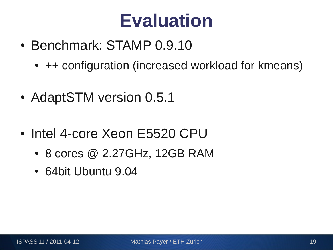#### **Evaluation**

- Benchmark: STAMP 0.9.10
	- ++ configuration (increased workload for kmeans)
- AdaptSTM version 0.5.1
- Intel 4-core Xeon E5520 CPU
	- $\bullet$  8 cores @ 2.27GHz, 12GB RAM
	- 64bit Ubuntu 9.04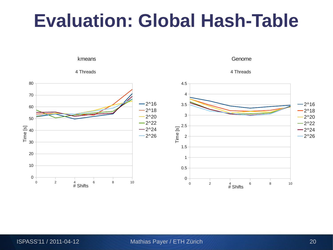### **Evaluation: Global Hash-Table**

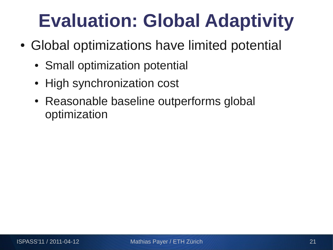- Global optimizations have limited potential
	- Small optimization potential
	- High synchronization cost
	- Reasonable baseline outperforms global optimization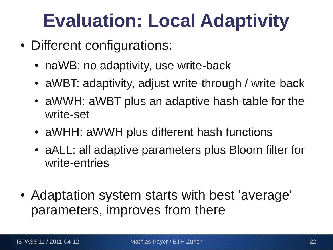- Different configurations:
	- naWB: no adaptivity, use write-back
	- aWBT: adaptivity, adjust write-through / write-back
	- aWWH: aWBT plus an adaptive hash-table for the write-set
	- aWHH: aWWH plus different hash functions
	- aALL: all adaptive parameters plus Bloom filter for write-entries
- Adaptation system starts with best 'average' parameters, improves from there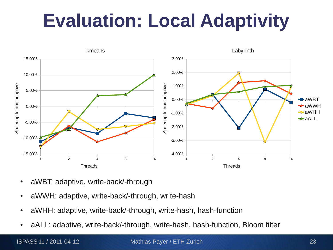

- aWBT: adaptive, write-back/-through
- aWWH: adaptive, write-back/-through, write-hash
- aWHH: adaptive, write-back/-through, write-hash, hash-function
- aALL: adaptive, write-back/-through, write-hash, hash-function, Bloom filter

ISPASS'11 / 2011-04-12 Mathias Payer / ETH Zürich 23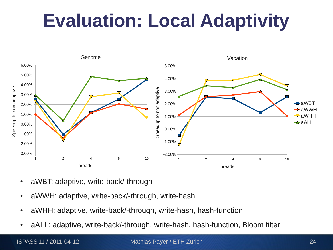

- aWBT: adaptive, write-back/-through
- aWWH: adaptive, write-back/-through, write-hash
- aWHH: adaptive, write-back/-through, write-hash, hash-function
- aALL: adaptive, write-back/-through, write-hash, hash-function, Bloom filter

ISPASS'11 / 2011-04-12 Mathias Payer / ETH Zürich 24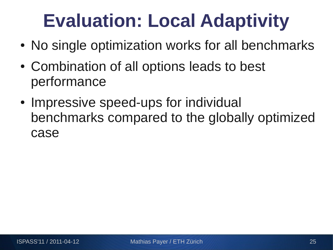- No single optimization works for all benchmarks
- Combination of all options leads to best performance
- Impressive speed-ups for individual benchmarks compared to the globally optimized case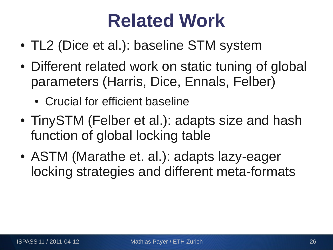### **Related Work**

- TL2 (Dice et al.): baseline STM system
- Different related work on static tuning of global parameters (Harris, Dice, Ennals, Felber)
	- Crucial for efficient baseline
- TinySTM (Felber et al.): adapts size and hash function of global locking table
- ASTM (Marathe et. al.): adapts lazy-eager locking strategies and different meta-formats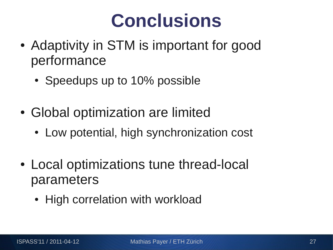### **Conclusions**

- Adaptivity in STM is important for good performance
	- Speedups up to 10% possible
- Global optimization are limited
	- Low potential, high synchronization cost
- Local optimizations tune thread-local parameters
	- High correlation with workload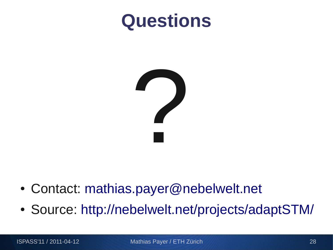#### **Questions**



- Contact: [mathias.payer@nebelwelt.net](mailto:mathias.payer@nebelwelt.net)
- Source: <http://nebelwelt.net/projects/adaptSTM/>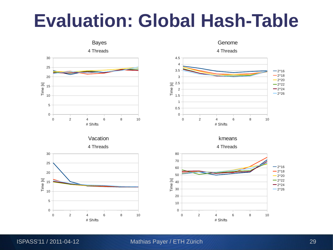#### **Evaluation: Global Hash-Table**

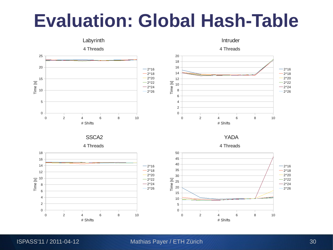#### **Evaluation: Global Hash-Table**

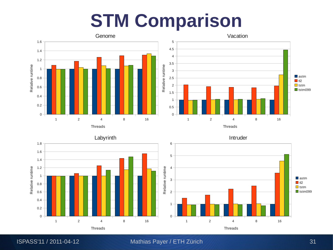#### **STM Comparison**



ISPASS'11 / 2011-04-12 Mathias Payer / ETH Zürich 31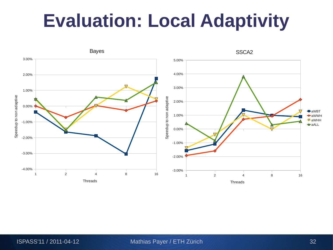